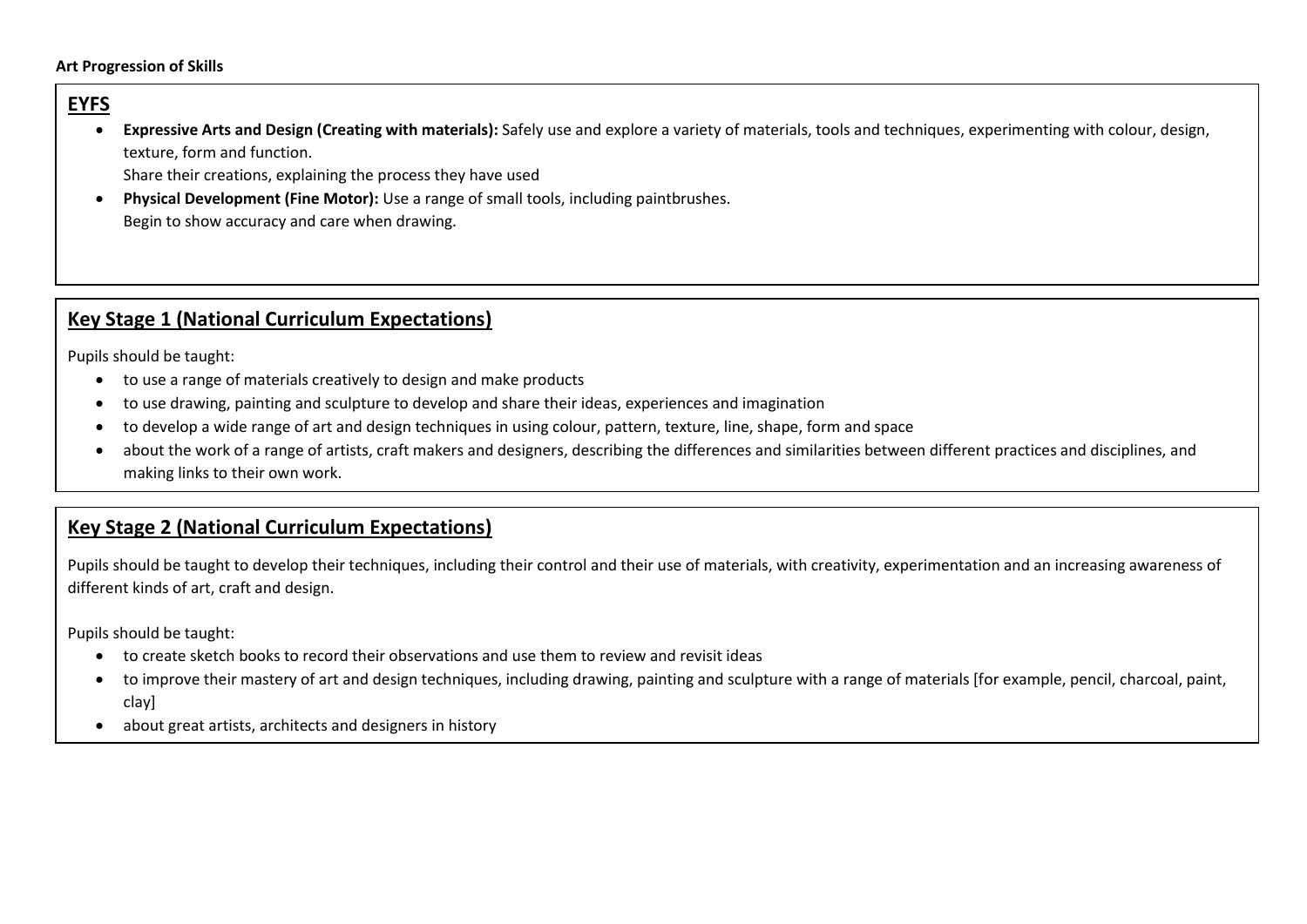## **Art Progression of Skills**

## **EYFS**

• **Expressive Arts and Design (Creating with materials):** Safely use and explore a variety of materials, tools and techniques, experimenting with colour, design, texture, form and function.

Share their creations, explaining the process they have used

• **Physical Development (Fine Motor):** Use a range of small tools, including paintbrushes. Begin to show accuracy and care when drawing.

## **Key Stage 1 (National Curriculum Expectations)**

Pupils should be taught:

- to use a range of materials creatively to design and make products
- to use drawing, painting and sculpture to develop and share their ideas, experiences and imagination
- to develop a wide range of art and design techniques in using colour, pattern, texture, line, shape, form and space
- about the work of a range of artists, craft makers and designers, describing the differences and similarities between different practices and disciplines, and making links to their own work.

## **Key Stage 2 (National Curriculum Expectations)**

Pupils should be taught to develop their techniques, including their control and their use of materials, with creativity, experimentation and an increasing awareness of different kinds of art, craft and design.

Pupils should be taught:

- to create sketch books to record their observations and use them to review and revisit ideas
- to improve their mastery of art and design techniques, including drawing, painting and sculpture with a range of materials [for example, pencil, charcoal, paint, clay]
- about great artists, architects and designers in history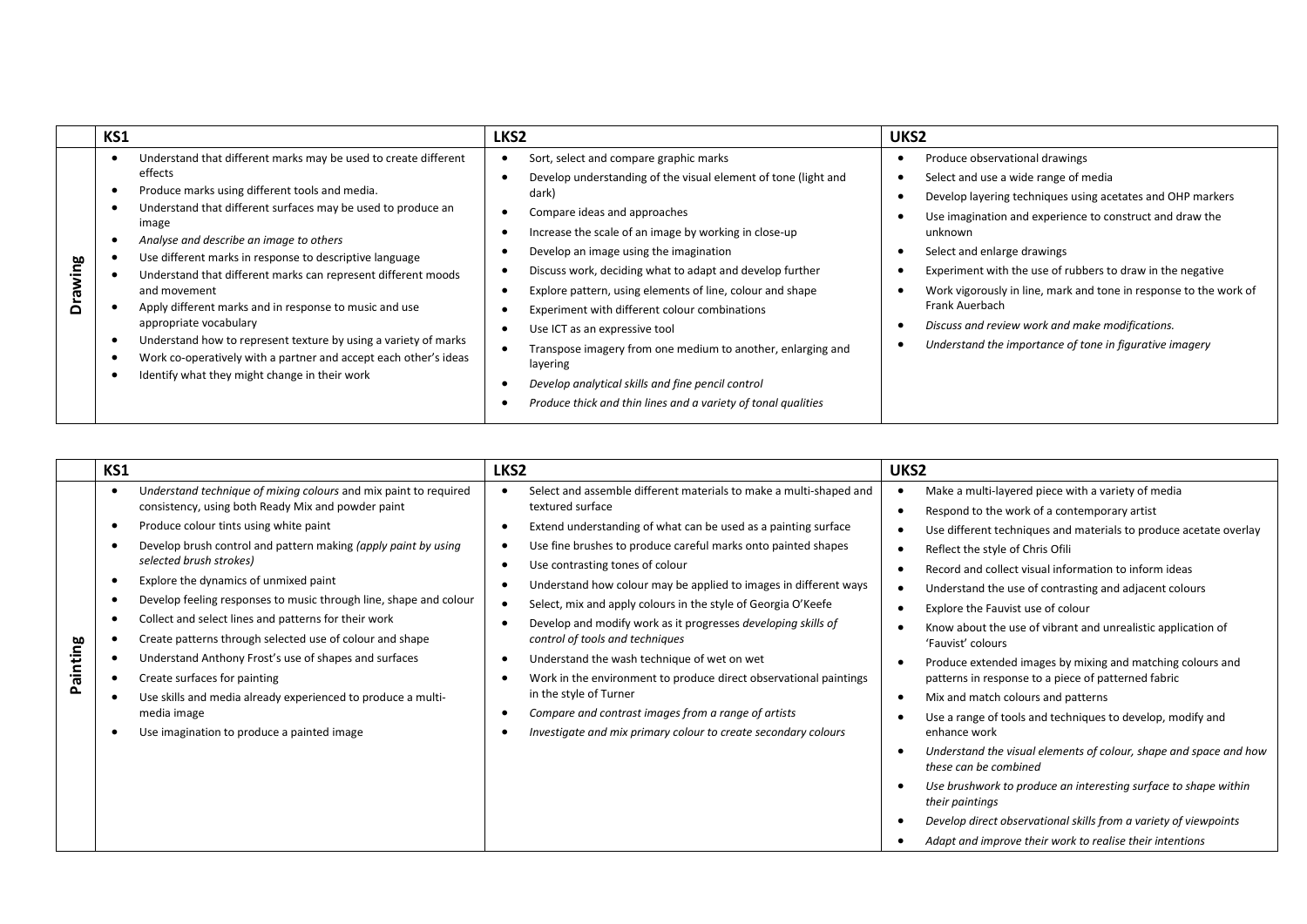|         | KS1                                                                                                                                                                                                                                                                                                                                                                                                                                                                                                                                                                                                                                                                      | LKS <sub>2</sub>                                                                                                                                                                                                                                                                                                                                                                                                                                                                                                                                                                                                                                                 | UKS2                                                                                                                                                                                                                                                                                                                                                                                                                                                                                                          |
|---------|--------------------------------------------------------------------------------------------------------------------------------------------------------------------------------------------------------------------------------------------------------------------------------------------------------------------------------------------------------------------------------------------------------------------------------------------------------------------------------------------------------------------------------------------------------------------------------------------------------------------------------------------------------------------------|------------------------------------------------------------------------------------------------------------------------------------------------------------------------------------------------------------------------------------------------------------------------------------------------------------------------------------------------------------------------------------------------------------------------------------------------------------------------------------------------------------------------------------------------------------------------------------------------------------------------------------------------------------------|---------------------------------------------------------------------------------------------------------------------------------------------------------------------------------------------------------------------------------------------------------------------------------------------------------------------------------------------------------------------------------------------------------------------------------------------------------------------------------------------------------------|
| Drawing | Understand that different marks may be used to create different<br>effects<br>Produce marks using different tools and media.<br>Understand that different surfaces may be used to produce an<br>image<br>Analyse and describe an image to others<br>Use different marks in response to descriptive language<br>Understand that different marks can represent different moods<br>and movement<br>Apply different marks and in response to music and use<br>appropriate vocabulary<br>Understand how to represent texture by using a variety of marks<br>Work co-operatively with a partner and accept each other's ideas<br>Identify what they might change in their work | Sort, select and compare graphic marks<br>Develop understanding of the visual element of tone (light and<br>dark)<br>Compare ideas and approaches<br>Increase the scale of an image by working in close-up<br>Develop an image using the imagination<br>Discuss work, deciding what to adapt and develop further<br>Explore pattern, using elements of line, colour and shape<br>Experiment with different colour combinations<br>Use ICT as an expressive tool<br>Transpose imagery from one medium to another, enlarging and<br>layering<br>Develop analytical skills and fine pencil control<br>Produce thick and thin lines and a variety of tonal qualities | Produce observational drawings<br>Select and use a wide range of media<br>Develop layering techniques using acetates and OHP markers<br>Use imagination and experience to construct and draw the<br>unknown<br>Select and enlarge drawings<br>Experiment with the use of rubbers to draw in the negative<br>Work vigorously in line, mark and tone in response to the work of<br>Frank Auerbach<br>Discuss and review work and make modifications.<br>Understand the importance of tone in figurative imagery |

| KS1      |                                                                                                                                                                                                                                                                                                                                                                                                                                                                                                                                                                                                                                                                                                                       | LKS <sub>2</sub>                                                                                                                                                                                                                                                                                                                                                                                                                                                                                                                                                                                                                                                                                                                                                             | UKS2                                                                                                                                                                                                                                                                                                                                                                                                                                                                                                                                                                                                                                                                                                                                                                                                                                                                                                                                                                                                                  |
|----------|-----------------------------------------------------------------------------------------------------------------------------------------------------------------------------------------------------------------------------------------------------------------------------------------------------------------------------------------------------------------------------------------------------------------------------------------------------------------------------------------------------------------------------------------------------------------------------------------------------------------------------------------------------------------------------------------------------------------------|------------------------------------------------------------------------------------------------------------------------------------------------------------------------------------------------------------------------------------------------------------------------------------------------------------------------------------------------------------------------------------------------------------------------------------------------------------------------------------------------------------------------------------------------------------------------------------------------------------------------------------------------------------------------------------------------------------------------------------------------------------------------------|-----------------------------------------------------------------------------------------------------------------------------------------------------------------------------------------------------------------------------------------------------------------------------------------------------------------------------------------------------------------------------------------------------------------------------------------------------------------------------------------------------------------------------------------------------------------------------------------------------------------------------------------------------------------------------------------------------------------------------------------------------------------------------------------------------------------------------------------------------------------------------------------------------------------------------------------------------------------------------------------------------------------------|
| Painting | Understand technique of mixing colours and mix paint to required<br>consistency, using both Ready Mix and powder paint<br>Produce colour tints using white paint<br>Develop brush control and pattern making (apply paint by using<br>selected brush strokes)<br>Explore the dynamics of unmixed paint<br>Develop feeling responses to music through line, shape and colour<br>Collect and select lines and patterns for their work<br>Create patterns through selected use of colour and shape<br>Understand Anthony Frost's use of shapes and surfaces<br>Create surfaces for painting<br>Use skills and media already experienced to produce a multi-<br>media image<br>Use imagination to produce a painted image | Select and assemble different materials to make a multi-shaped and<br>textured surface<br>Extend understanding of what can be used as a painting surface<br>Use fine brushes to produce careful marks onto painted shapes<br>Use contrasting tones of colour<br>Understand how colour may be applied to images in different ways<br>Select, mix and apply colours in the style of Georgia O'Keefe<br>Develop and modify work as it progresses developing skills of<br>control of tools and techniques<br>Understand the wash technique of wet on wet<br>Work in the environment to produce direct observational paintings<br>in the style of Turner<br>Compare and contrast images from a range of artists<br>Investigate and mix primary colour to create secondary colours | Make a multi-layered piece with a variety of media<br>Respond to the work of a contemporary artist<br>Use different techniques and materials to produce acetate overlay<br>Reflect the style of Chris Ofili<br>Record and collect visual information to inform ideas<br>Understand the use of contrasting and adjacent colours<br>Explore the Fauvist use of colour<br>Know about the use of vibrant and unrealistic application of<br>'Fauvist' colours<br>Produce extended images by mixing and matching colours and<br>patterns in response to a piece of patterned fabric<br>Mix and match colours and patterns<br>Use a range of tools and techniques to develop, modify and<br>enhance work<br>Understand the visual elements of colour, shape and space and how<br>these can be combined<br>Use brushwork to produce an interesting surface to shape within<br>their paintings<br>Develop direct observational skills from a variety of viewpoints<br>Adapt and improve their work to realise their intentions |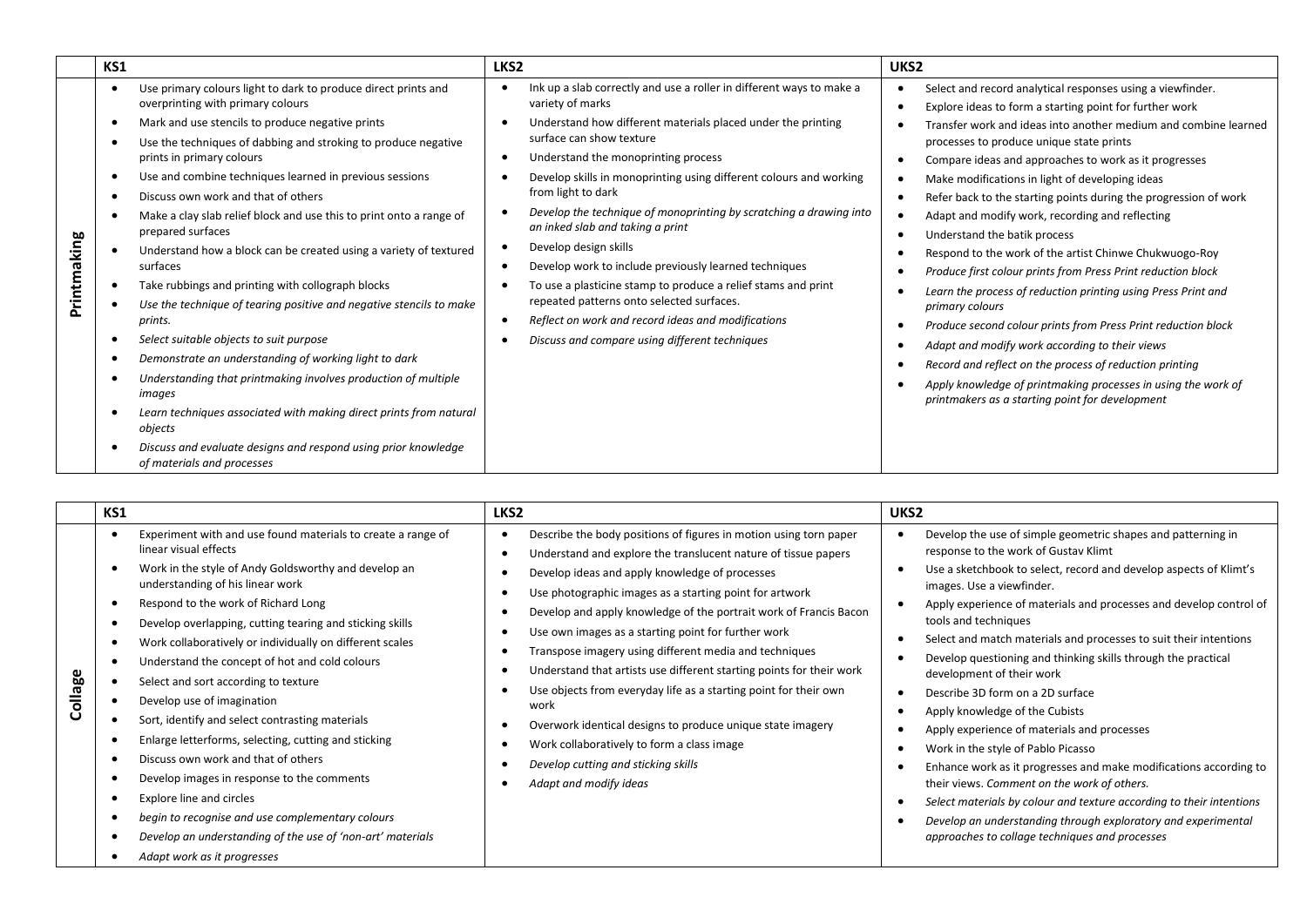|                           | Use primary colours light to dark to produce direct prints and                                                                                                                                                                                                                                                                                                                                                                                                                                                                                                                                                                                                                                                                                                                                                                                                                                           |                                                                                                                                                                                                                                                                                                                                                                                                                                                                                                                                                                                                                                               |                                                                                                                                                                                                                                                                                                                                                                                                                                                                                                                                                                                                                                                                                                                                                                                                                                                                                                                                                           |
|---------------------------|----------------------------------------------------------------------------------------------------------------------------------------------------------------------------------------------------------------------------------------------------------------------------------------------------------------------------------------------------------------------------------------------------------------------------------------------------------------------------------------------------------------------------------------------------------------------------------------------------------------------------------------------------------------------------------------------------------------------------------------------------------------------------------------------------------------------------------------------------------------------------------------------------------|-----------------------------------------------------------------------------------------------------------------------------------------------------------------------------------------------------------------------------------------------------------------------------------------------------------------------------------------------------------------------------------------------------------------------------------------------------------------------------------------------------------------------------------------------------------------------------------------------------------------------------------------------|-----------------------------------------------------------------------------------------------------------------------------------------------------------------------------------------------------------------------------------------------------------------------------------------------------------------------------------------------------------------------------------------------------------------------------------------------------------------------------------------------------------------------------------------------------------------------------------------------------------------------------------------------------------------------------------------------------------------------------------------------------------------------------------------------------------------------------------------------------------------------------------------------------------------------------------------------------------|
|                           | overprinting with primary colours                                                                                                                                                                                                                                                                                                                                                                                                                                                                                                                                                                                                                                                                                                                                                                                                                                                                        | Ink up a slab correctly and use a roller in different ways to make a<br>variety of marks                                                                                                                                                                                                                                                                                                                                                                                                                                                                                                                                                      | Select and record analytical responses using a viewfinder.                                                                                                                                                                                                                                                                                                                                                                                                                                                                                                                                                                                                                                                                                                                                                                                                                                                                                                |
| $\epsilon$<br>Printmaking | Mark and use stencils to produce negative prints<br>Use the techniques of dabbing and stroking to produce negative<br>prints in primary colours<br>Use and combine techniques learned in previous sessions<br>Discuss own work and that of others<br>Make a clay slab relief block and use this to print onto a range of<br>prepared surfaces<br>Understand how a block can be created using a variety of textured<br>surfaces<br>Take rubbings and printing with collograph blocks<br>Use the technique of tearing positive and negative stencils to make<br>prints.<br>Select suitable objects to suit purpose<br>Demonstrate an understanding of working light to dark<br>Understanding that printmaking involves production of multiple<br>images<br>Learn techniques associated with making direct prints from natural<br>objects<br>Discuss and evaluate designs and respond using prior knowledge | Understand how different materials placed under the printing<br>surface can show texture<br>Understand the monoprinting process<br>Develop skills in monoprinting using different colours and working<br>from light to dark<br>Develop the technique of monoprinting by scratching a drawing into<br>an inked slab and taking a print<br>Develop design skills<br>Develop work to include previously learned techniques<br>To use a plasticine stamp to produce a relief stams and print<br>repeated patterns onto selected surfaces.<br>Reflect on work and record ideas and modifications<br>Discuss and compare using different techniques | Explore ideas to form a starting point for further work<br>Transfer work and ideas into another medium and combine learned<br>processes to produce unique state prints<br>Compare ideas and approaches to work as it progresses<br>Make modifications in light of developing ideas<br>Refer back to the starting points during the progression of work<br>Adapt and modify work, recording and reflecting<br>Understand the batik process<br>Respond to the work of the artist Chinwe Chukwuogo-Roy<br>Produce first colour prints from Press Print reduction block<br>Learn the process of reduction printing using Press Print and<br>primary colours<br>Produce second colour prints from Press Print reduction block<br>Adapt and modify work according to their views<br>Record and reflect on the process of reduction printing<br>Apply knowledge of printmaking processes in using the work of<br>printmakers as a starting point for development |

| KS1                                                                                                                                                                                                                                                                                                                                                                                                                                                                                                                                                                                                                                                                                                                                                                                                                                                              | LKS <sub>2</sub>                                                                                                                                                                                                                                                                                                                                                                                                                                                                                                                                                                                                                                                                                                                                                        | UKS <sub>2</sub>                                                                                                                                                                                                                                                                                                                                                                                                                                                                                                                                                                                                                                                                                                                                                                                                                                                                                                                                  |
|------------------------------------------------------------------------------------------------------------------------------------------------------------------------------------------------------------------------------------------------------------------------------------------------------------------------------------------------------------------------------------------------------------------------------------------------------------------------------------------------------------------------------------------------------------------------------------------------------------------------------------------------------------------------------------------------------------------------------------------------------------------------------------------------------------------------------------------------------------------|-------------------------------------------------------------------------------------------------------------------------------------------------------------------------------------------------------------------------------------------------------------------------------------------------------------------------------------------------------------------------------------------------------------------------------------------------------------------------------------------------------------------------------------------------------------------------------------------------------------------------------------------------------------------------------------------------------------------------------------------------------------------------|---------------------------------------------------------------------------------------------------------------------------------------------------------------------------------------------------------------------------------------------------------------------------------------------------------------------------------------------------------------------------------------------------------------------------------------------------------------------------------------------------------------------------------------------------------------------------------------------------------------------------------------------------------------------------------------------------------------------------------------------------------------------------------------------------------------------------------------------------------------------------------------------------------------------------------------------------|
| Experiment with and use found materials to create a range of<br>linear visual effects<br>Work in the style of Andy Goldsworthy and develop an<br>understanding of his linear work<br>Respond to the work of Richard Long<br>Develop overlapping, cutting tearing and sticking skills<br>Work collaboratively or individually on different scales<br>Understand the concept of hot and cold colours<br>Collage<br>Select and sort according to texture<br>Develop use of imagination<br>Sort, identify and select contrasting materials<br>Enlarge letterforms, selecting, cutting and sticking<br>Discuss own work and that of others<br>Develop images in response to the comments<br>Explore line and circles<br>begin to recognise and use complementary colours<br>Develop an understanding of the use of 'non-art' materials<br>Adapt work as it progresses | Describe the body positions of figures in motion using torn paper<br>Understand and explore the translucent nature of tissue papers<br>Develop ideas and apply knowledge of processes<br>Use photographic images as a starting point for artwork<br>Develop and apply knowledge of the portrait work of Francis Bacon<br>Use own images as a starting point for further work<br>Transpose imagery using different media and techniques<br>Understand that artists use different starting points for their work<br>Use objects from everyday life as a starting point for their own<br>work<br>Overwork identical designs to produce unique state imagery<br>Work collaboratively to form a class image<br>Develop cutting and sticking skills<br>Adapt and modify ideas | Develop the use of simple geometric shapes and patterning in<br>response to the work of Gustav Klimt<br>Use a sketchbook to select, record and develop aspects of Klimt's<br>images. Use a viewfinder.<br>Apply experience of materials and processes and develop control of<br>tools and techniques<br>Select and match materials and processes to suit their intentions<br>Develop questioning and thinking skills through the practical<br>development of their work<br>Describe 3D form on a 2D surface<br>Apply knowledge of the Cubists<br>Apply experience of materials and processes<br>Work in the style of Pablo Picasso<br>Enhance work as it progresses and make modifications according to<br>their views. Comment on the work of others.<br>Select materials by colour and texture according to their intentions<br>Develop an understanding through exploratory and experimental<br>approaches to collage techniques and processes |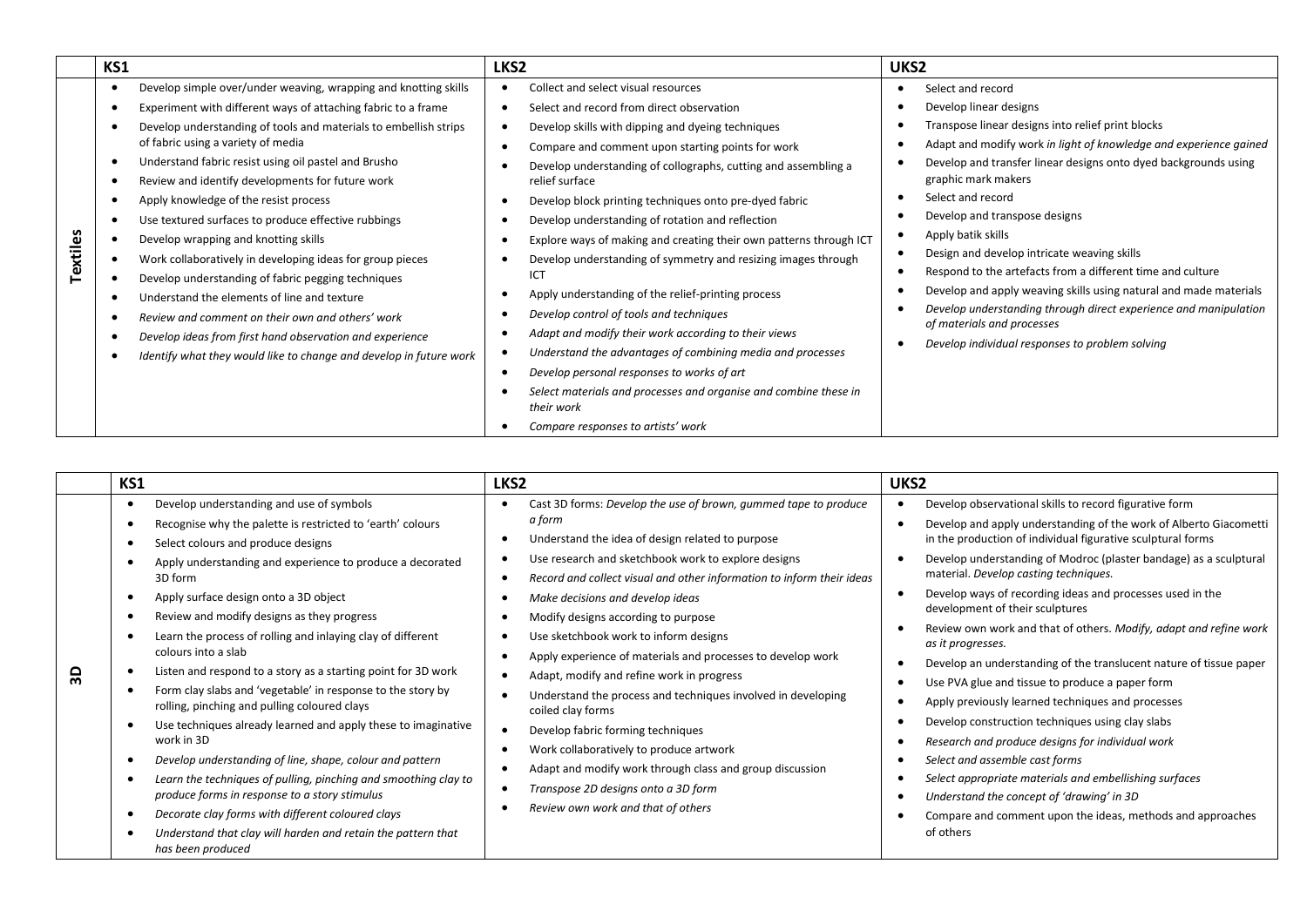|          | KS1 |                                                                    | LKS <sub>2</sub>                                                               | UKS <sub>2</sub>                                                  |
|----------|-----|--------------------------------------------------------------------|--------------------------------------------------------------------------------|-------------------------------------------------------------------|
|          |     | Develop simple over/under weaving, wrapping and knotting skills    | Collect and select visual resources                                            | Select and record                                                 |
|          |     | Experiment with different ways of attaching fabric to a frame      | Select and record from direct observation                                      | Develop linear designs                                            |
|          |     | Develop understanding of tools and materials to embellish strips   | Develop skills with dipping and dyeing techniques                              | Transpose linear designs into relief print blocks                 |
|          |     | of fabric using a variety of media                                 | Compare and comment upon starting points for work                              | Adapt and modify work in light of knowledge and experience gained |
|          |     | Understand fabric resist using oil pastel and Brusho               | Develop understanding of collographs, cutting and assembling a                 | Develop and transfer linear designs onto dyed backgrounds using   |
|          |     | Review and identify developments for future work                   | relief surface                                                                 | graphic mark makers                                               |
|          |     | Apply knowledge of the resist process                              | Develop block printing techniques onto pre-dyed fabric                         | Select and record                                                 |
|          |     | Use textured surfaces to produce effective rubbings                | Develop understanding of rotation and reflection                               | Develop and transpose designs                                     |
|          |     | Develop wrapping and knotting skills                               | Explore ways of making and creating their own patterns through ICT             | Apply batik skills                                                |
| Textiles |     | Work collaboratively in developing ideas for group pieces          | Develop understanding of symmetry and resizing images through                  | Design and develop intricate weaving skills                       |
|          |     | Develop understanding of fabric pegging techniques                 | ICT                                                                            | Respond to the artefacts from a different time and culture        |
|          |     | Understand the elements of line and texture                        | Apply understanding of the relief-printing process                             | Develop and apply weaving skills using natural and made materials |
|          |     | Review and comment on their own and others' work                   | Develop control of tools and techniques                                        | Develop understanding through direct experience and manipulation  |
|          |     | Develop ideas from first hand observation and experience           | Adapt and modify their work according to their views                           | of materials and processes                                        |
|          |     | Identify what they would like to change and develop in future work | Understand the advantages of combining media and processes                     | Develop individual responses to problem solving                   |
|          |     |                                                                    | Develop personal responses to works of art                                     |                                                                   |
|          |     |                                                                    | Select materials and processes and organise and combine these in<br>their work |                                                                   |
|          |     |                                                                    | Compare responses to artists' work                                             |                                                                   |

|                | KS1                                                                                                                                                                                                                                                                                                                                                                                                                                                                                                                                                                                                                                                                                                                                                                                                                                                                                                                       | LKS <sub>2</sub>                                                                                                                                                                                                                                                                                                                                                                                                                                                                                                                                                                                                                                                                                                                         | UKS <sub>2</sub>                                                                                                                                                                                                                                                                                                                                                                                                                                                                                                                                                                                                                                                                                                                                                                                                                                                                                                                                   |
|----------------|---------------------------------------------------------------------------------------------------------------------------------------------------------------------------------------------------------------------------------------------------------------------------------------------------------------------------------------------------------------------------------------------------------------------------------------------------------------------------------------------------------------------------------------------------------------------------------------------------------------------------------------------------------------------------------------------------------------------------------------------------------------------------------------------------------------------------------------------------------------------------------------------------------------------------|------------------------------------------------------------------------------------------------------------------------------------------------------------------------------------------------------------------------------------------------------------------------------------------------------------------------------------------------------------------------------------------------------------------------------------------------------------------------------------------------------------------------------------------------------------------------------------------------------------------------------------------------------------------------------------------------------------------------------------------|----------------------------------------------------------------------------------------------------------------------------------------------------------------------------------------------------------------------------------------------------------------------------------------------------------------------------------------------------------------------------------------------------------------------------------------------------------------------------------------------------------------------------------------------------------------------------------------------------------------------------------------------------------------------------------------------------------------------------------------------------------------------------------------------------------------------------------------------------------------------------------------------------------------------------------------------------|
|                | Develop understanding and use of symbols                                                                                                                                                                                                                                                                                                                                                                                                                                                                                                                                                                                                                                                                                                                                                                                                                                                                                  | Cast 3D forms: Develop the use of brown, gummed tape to produce                                                                                                                                                                                                                                                                                                                                                                                                                                                                                                                                                                                                                                                                          | Develop observational skills to record figurative form                                                                                                                                                                                                                                                                                                                                                                                                                                                                                                                                                                                                                                                                                                                                                                                                                                                                                             |
| $\overline{3}$ | Recognise why the palette is restricted to 'earth' colours<br>Select colours and produce designs<br>Apply understanding and experience to produce a decorated<br>3D form<br>Apply surface design onto a 3D object<br>Review and modify designs as they progress<br>Learn the process of rolling and inlaying clay of different<br>colours into a slab<br>Listen and respond to a story as a starting point for 3D work<br>Form clay slabs and 'vegetable' in response to the story by<br>rolling, pinching and pulling coloured clays<br>Use techniques already learned and apply these to imaginative<br>work in 3D<br>Develop understanding of line, shape, colour and pattern<br>Learn the techniques of pulling, pinching and smoothing clay to<br>produce forms in response to a story stimulus<br>Decorate clay forms with different coloured clays<br>Understand that clay will harden and retain the pattern that | a form<br>Understand the idea of design related to purpose<br>Use research and sketchbook work to explore designs<br>Record and collect visual and other information to inform their ideas<br>Make decisions and develop ideas<br>Modify designs according to purpose<br>Use sketchbook work to inform designs<br>Apply experience of materials and processes to develop work<br>Adapt, modify and refine work in progress<br>Understand the process and techniques involved in developing<br>coiled clay forms<br>Develop fabric forming techniques<br>Work collaboratively to produce artwork<br>Adapt and modify work through class and group discussion<br>Transpose 2D designs onto a 3D form<br>Review own work and that of others | Develop and apply understanding of the work of Alberto Giacometti<br>in the production of individual figurative sculptural forms<br>Develop understanding of Modroc (plaster bandage) as a sculptural<br>material. Develop casting techniques.<br>Develop ways of recording ideas and processes used in the<br>development of their sculptures<br>Review own work and that of others. Modify, adapt and refine work<br>as it progresses.<br>Develop an understanding of the translucent nature of tissue paper<br>Use PVA glue and tissue to produce a paper form<br>Apply previously learned techniques and processes<br>Develop construction techniques using clay slabs<br>Research and produce designs for individual work<br>Select and assemble cast forms<br>Select appropriate materials and embellishing surfaces<br>Understand the concept of 'drawing' in 3D<br>Compare and comment upon the ideas, methods and approaches<br>of others |